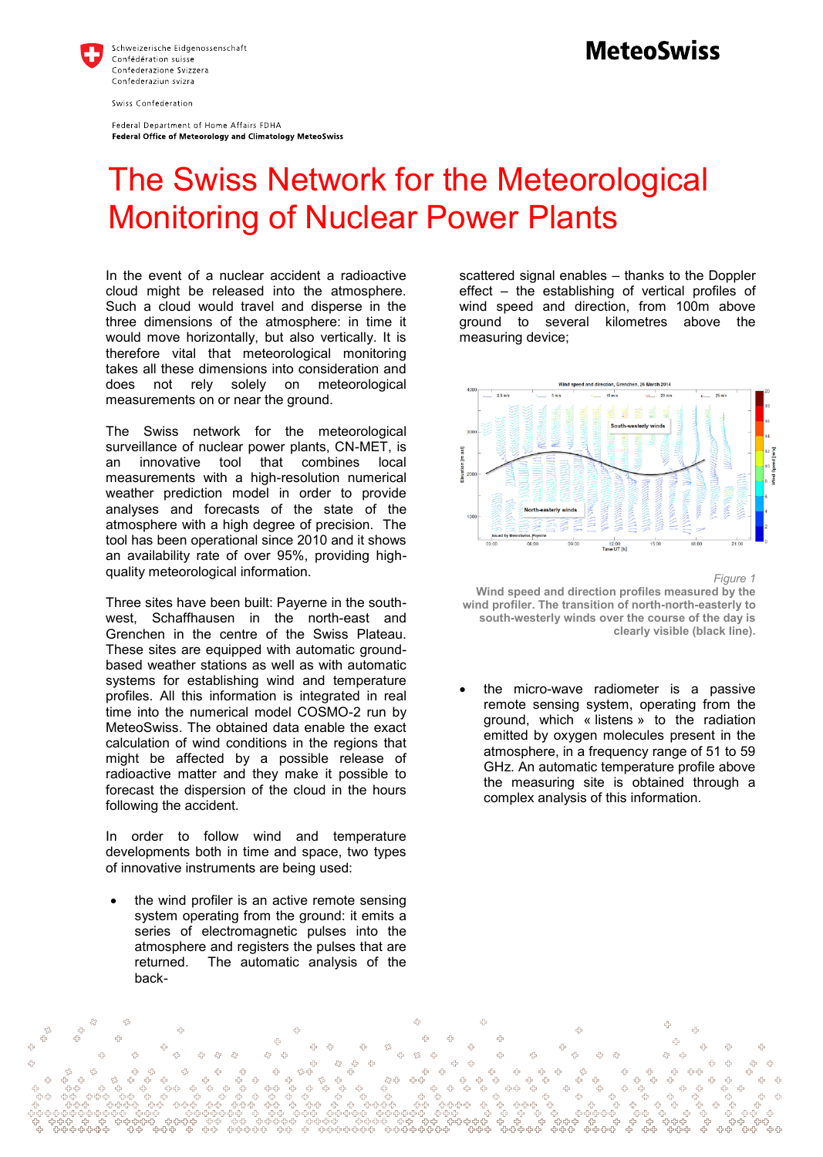

Federal Department of Home Affairs FDHA Federal Office of Meteorology and Climatology MeteoSwiss

## **MeteoSwiss**

## The Swiss Network for the Meteorological Monitoring of Nuclear Power Plants

In the event of a nuclear accident a radioactive cloud might be released into the atmosphere. Such a cloud would travel and disperse in the three dimensions of the atmosphere: in time it would move horizontally, but also vertically. It is therefore vital that meteorological monitoring takes all these dimensions into consideration and does not rely solely on meteorological measurements on or near the ground.

The Swiss network for the meteorological surveillance of nuclear power plants, CN-MET, is an innovative tool that combines local measurements with a high-resolution numerical weather prediction model in order to provide analyses and forecasts of the state of the atmosphere with a high degree of precision. The tool has been operational since 2010 and it shows an availability rate of over 95%, providing highquality meteorological information.

Three sites have been built: Payerne in the southwest, Schaffhausen in the north-east and Grenchen in the centre of the Swiss Plateau. These sites are equipped with automatic groundbased weather stations as well as with automatic systems for establishing wind and temperature profiles. All this information is integrated in real time into the numerical model COSMO-2 run by MeteoSwiss. The obtained data enable the exact calculation of wind conditions in the regions that might be affected by a possible release of radioactive matter and they make it possible to forecast the dispersion of the cloud in the hours following the accident.

In order to follow wind and temperature developments both in time and space, two types of innovative instruments are being used:

 the wind profiler is an active remote sensing system operating from the ground: it emits a series of electromagnetic pulses into the atmosphere and registers the pulses that are returned. The automatic analysis of the back-

scattered signal enables – thanks to the Doppler effect – the establishing of vertical profiles of wind speed and direction, from 100m above ground to several kilometres above the measuring device;



*Figure 1*  **Wind speed and direction profiles measured by the wind profiler. The transition of north-north-easterly to south-westerly winds over the course of the day is clearly visible (black line).** 

 the micro-wave radiometer is a passive remote sensing system, operating from the ground, which « listens » to the radiation emitted by oxygen molecules present in the atmosphere, in a frequency range of 51 to 59 GHz. An automatic temperature profile above the measuring site is obtained through a complex analysis of this information.